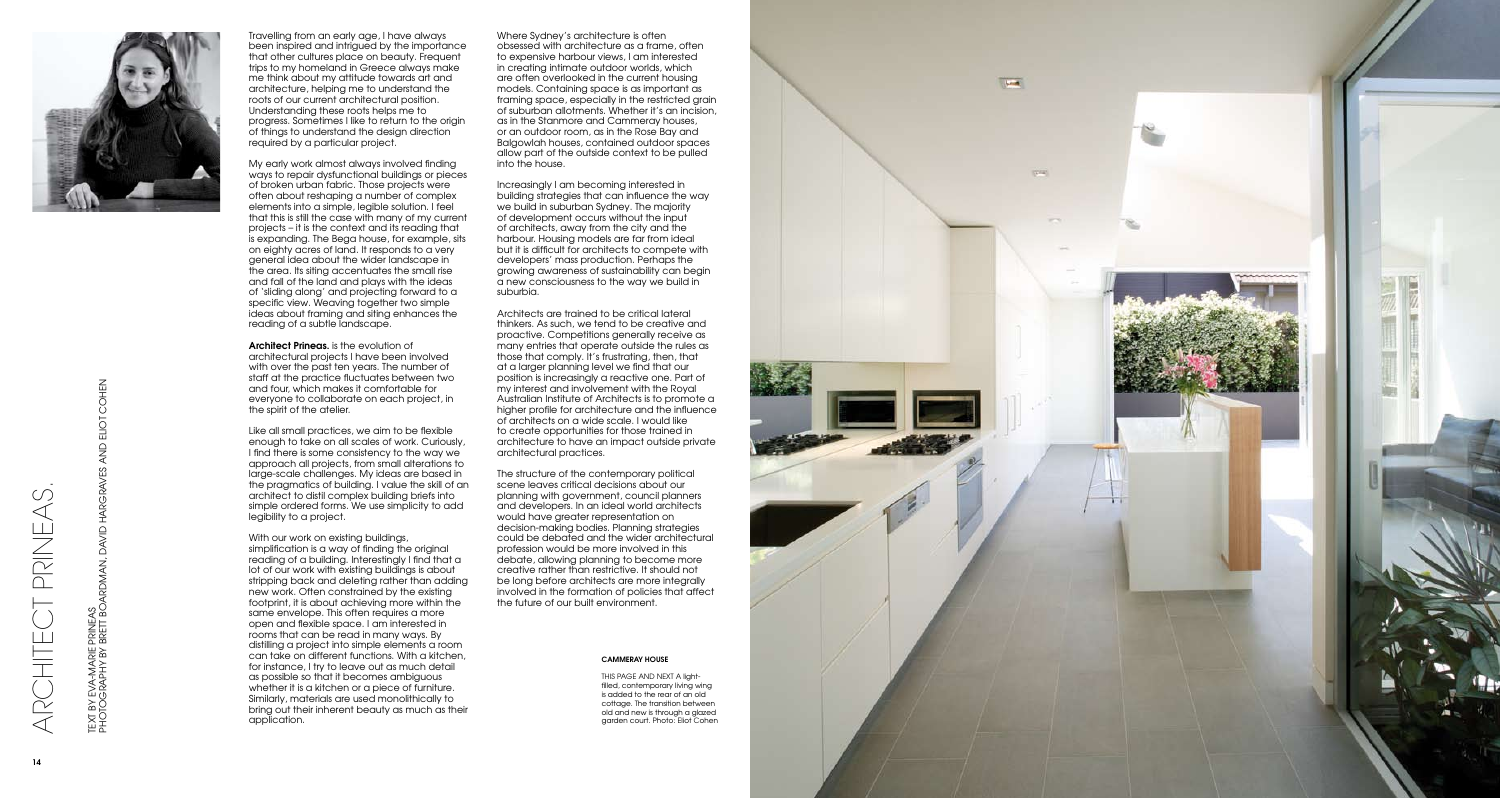

Travelling from an early age, I have always been inspired and intrigued by the importance that other cultures place on beauty. Frequent trips to my homeland in Greece always make me think about my attitude towards art and architecture, helping me to understand the roots of our current architectural position. Understanding these roots helps me to progress. Sometimes I like to return to the origin of things to understand the design direction required by a particular project.

My early work almost always involved finding ways to repair dysfunctional buildings or pieces of broken urban fabric. Those projects were often about reshaping a number of complex elements into a simple, legible solution. I feel that this is still the case with many of my current projects – it is the context and its reading that is expanding. The Bega house, for example, sits on eighty acres of land. It responds to a very general idea about the wider landscape in the area. Its siting accentuates the small rise and fall of the land and plays with the ideas of 'sliding along' and projecting forward to a specific view. Weaving together two simple ideas about framing and siting enhances the reading of a subtle landscape.

Architect Prineas. is the evolution of architectural projects I have been involved with over the past ten years. The number of staff at the practice fluctuates between two and four, which makes it comfortable for everyone to collaborate on each project, in the spirit of the atelier.

With our work on existing buildings, simplification is a way of finding the original reading of a building. Interestingly I find that a lot of our work with existing buildings is about stripping back and deleting rather than adding new work. Often constrained by the existing footprint, it is about achieving more within the same envelope. This often requires a more open and flexible space. I am interested in rooms that can be read in many ways. By distilling a project into simple elements a room can take on different functions. With a kitchen, for instance, I try to leave out as much detail as possible so that it becomes ambiguous whether it is a kitchen or a piece of furniture. Similarly, materials are used monolithically to bring out their inherent beauty as much as their application.

Like all small practices, we aim to be flexible enough to take on all scales of work. Curiously, I find there is some consistency to the way we approach all projects, from small alterations to large-scale challenges. My ideas are based in the pragmatics of building. I value the skill of an architect to distil complex building briefs into simple ordered forms. We use simplicity to add legibility to a project.

Where Sydney's architecture is often obsessed with architecture as a frame, often to expensive harbour views, I am interested in creating intimate outdoor worlds, which are often overlooked in the current housing models. Containing space is as important as framing space, especially in the restricted grain of suburban allotments. Whether it's an incision, as in the Stanmore and Cammeray houses, or an outdoor room, as in the Rose Bay and Balgowlah houses, contained outdoor spaces allow part of the outside context to be pulled into the house.

Increasingly I am becoming interested in building strategies that can influence the way we build in suburban Sydney. The majority of development occurs without the input of architects, away from the city and the harbour. Housing models are far from ideal but it is difficult for architects to compete with developers' mass production. Perhaps the growing awareness of sustainability can begin a new consciousness to the way we build in suburbia.

Architects are trained to be critical lateral thinkers. As such, we tend to be creative and proactive. Competitions generally receive as many entries that operate outside the rules as those that comply. It's frustrating, then, that at a larger planning level we find that our position is increasingly a reactive one. Part of my interest and involvement with the Royal Australian Institute of Architects is to promote a higher profile for architecture and the influence of architects on a wide scale. I would like to create opportunities for those trained in architecture to have an impact outside private architectural practices.

The structure of the contemporary political scene leaves critical decisions about our planning with government, council planners and developers. In an ideal world architects would have greater representation on decision-making bodies. Planning strategies could be debated and the wider architectural profession would be more involved in this debate, allowing planning to become more creative rather than restrictive. It should not be long before architects are more integrally involved in the formation of policies that affect the future of our built environment.

ARCHITECT PRINEAS.

ARCHIE

PRINE/

PHOTOGRAPHY BY BRETT BOARDMAN, DAVID HARGRAVES AND ELIOT COHEN

COHEN

ELIOT

AND

## CAMMERAY HOUSE

THIS PAGE AND NEXT A lightfilled, contemporary living wing is added to the rear of an old cottage. The transition between old and new is through a glazed garden court. Photo: Eliot Cohen

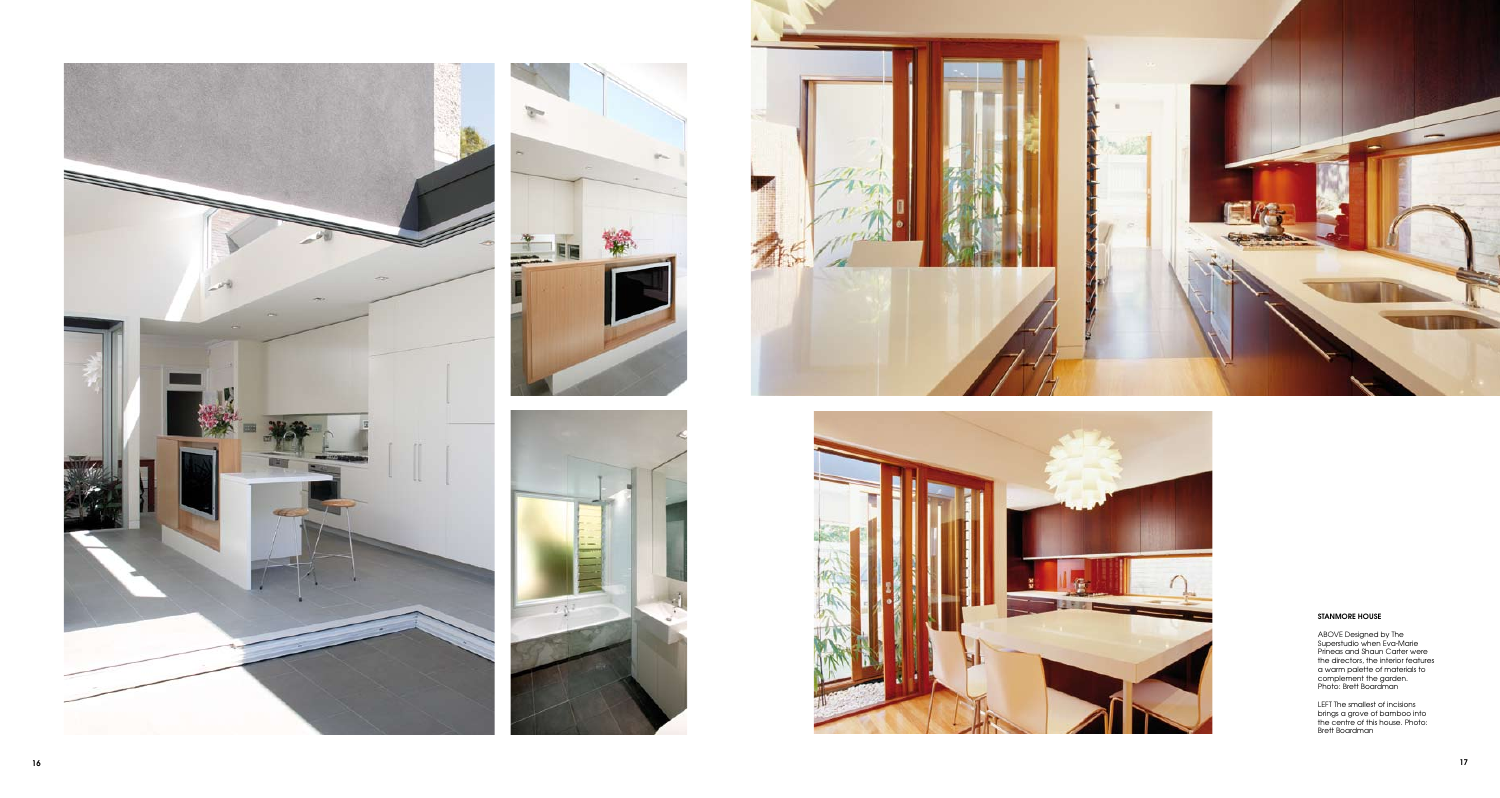









## STANMORE HOUSE

ABOVE Designed by The<br>
Superstudio when Eva-Marie<br>
Prineas and Shaun Carter were<br>
the directors, the interior features<br>
a warm palette of materials to<br>
complement the garden.<br>
Photo: Brett Boardman

LEFT The smallest of incisions brings a grove of bamboo into the centre of this house. Photo: Brett Boardman